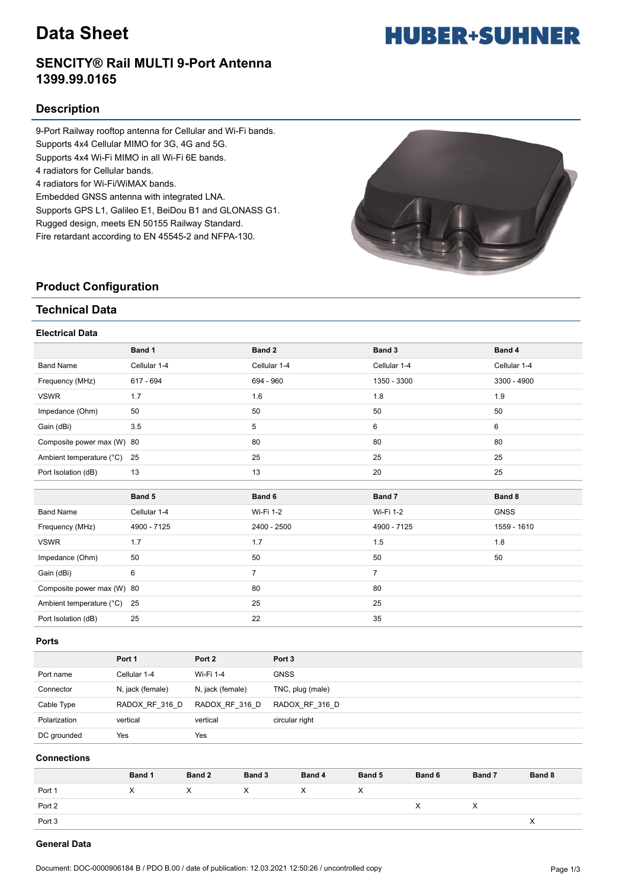# **Data Sheet**

#### **SENCITY® Rail MULTI 9-Port Antenna 1399.99.0165**

#### **Description**

9-Port Railway rooftop antenna for Cellular and Wi-Fi bands. Supports 4x4 Cellular MIMO for 3G, 4G and 5G. Supports 4x4 Wi-Fi MIMO in all Wi-Fi 6E bands. 4 radiators for Cellular bands. 4 radiators for Wi-Fi/WiMAX bands. Embedded GNSS antenna with integrated LNA. Supports GPS L1, Galileo E1, BeiDou B1 and GLONASS G1. Rugged design, meets EN 50155 Railway Standard.

Fire retardant according to EN 45545-2 and NFPA-130.

**HUBER+SUHNER** 

|  | <b>Product Configuration</b> |
|--|------------------------------|
|--|------------------------------|

#### **Technical Data**

#### **Electrical Data**

|                            | Band 1       | Band 2         | Band 3         | Band 4       |
|----------------------------|--------------|----------------|----------------|--------------|
| <b>Band Name</b>           | Cellular 1-4 | Cellular 1-4   | Cellular 1-4   | Cellular 1-4 |
| Frequency (MHz)            | 617 - 694    | 694 - 960      | 1350 - 3300    | 3300 - 4900  |
| <b>VSWR</b>                | 1.7          | 1.6            | 1.8            | 1.9          |
| Impedance (Ohm)            | 50           | 50             | 50             | 50           |
| Gain (dBi)                 | 3.5          | 5              | 6              | 6            |
| Composite power max (W) 80 |              | 80             | 80             | 80           |
| Ambient temperature (°C)   | 25           | 25             | 25             | 25           |
| Port Isolation (dB)        | 13           | 13             | 20             | 25           |
|                            |              |                |                |              |
|                            |              |                |                |              |
|                            | Band 5       | Band 6         | Band 7         | Band 8       |
| <b>Band Name</b>           | Cellular 1-4 | Wi-Fi 1-2      | Wi-Fi 1-2      | <b>GNSS</b>  |
| Frequency (MHz)            | 4900 - 7125  | 2400 - 2500    | 4900 - 7125    | 1559 - 1610  |
| <b>VSWR</b>                | 1.7          | 1.7            | 1.5            | 1.8          |
| Impedance (Ohm)            | 50           | 50             | 50             | 50           |
| Gain (dBi)                 | 6            | $\overline{7}$ | $\overline{7}$ |              |
| Composite power max (W) 80 |              | 80             | 80             |              |
| Ambient temperature (°C)   | 25           | 25             | 25             |              |

#### **Ports**

|              | Port 1           | Port 2           | Port <sub>3</sub> |
|--------------|------------------|------------------|-------------------|
| Port name    | Cellular 1-4     | Wi-Fi 1-4        | <b>GNSS</b>       |
| Connector    | N, jack (female) | N, jack (female) | TNC, plug (male)  |
| Cable Type   | RADOX RF 316 D   | RADOX RF 316 D   | RADOX RF 316 D    |
| Polarization | vertical         | vertical         | circular right    |
| DC grounded  | Yes              | Yes              |                   |

#### **Connections**

|        | Band 1 | Band 2 | Band 3 | Band 4 | Band 5 | Band 6 | Band 7 | Band 8 |
|--------|--------|--------|--------|--------|--------|--------|--------|--------|
| Port 1 | X      | X      | X      | X      | ᄉ      |        |        |        |
| Port 2 |        |        |        |        |        | х      | ⌒      |        |
| Port 3 |        |        |        |        |        |        |        |        |

#### **General Data**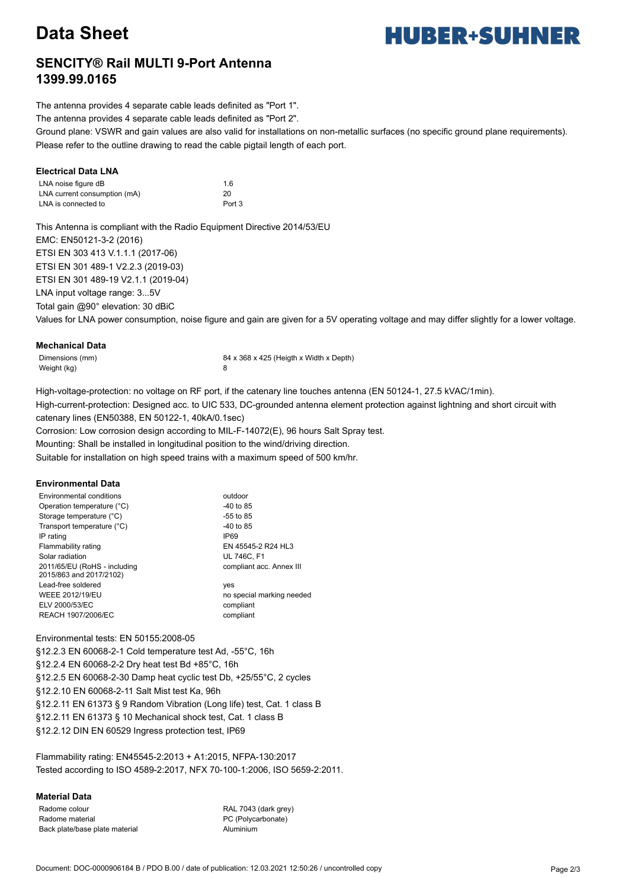# **Data Sheet**

# **HUBER+SUHNER**

### **SENCITY® Rail MULTI 9-Port Antenna 1399.99.0165**

The antenna provides 4 separate cable leads definited as "Port 1".

The antenna provides 4 separate cable leads definited as "Port 2".

Ground plane: VSWR and gain values are also valid for installations on non-metallic surfaces (no specific ground plane requirements). Please refer to the outline drawing to read the cable pigtail length of each port.

#### **Electrical Data LNA**

| LNA noise figure dB          | 1.6               |
|------------------------------|-------------------|
| LNA current consumption (mA) | 20                |
| LNA is connected to          | Port <sub>3</sub> |

This Antenna is compliant with the Radio Equipment Directive 2014/53/EU EMC: EN50121-3-2 (2016) ETSI EN 303 413 V.1.1.1 (2017-06) ETSI EN 301 489-1 V2.2.3 (2019-03) ETSI EN 301 489-19 V2.1.1 (2019-04) LNA input voltage range: 3...5V Total gain @90° elevation: 30 dBiC

Values for LNA power consumption, noise figure and gain are given for a 5V operating voltage and may differ slightly for a lower voltage.

#### **Mechanical Data**

Weight (kg) 8

Dimensions (mm) 84 x 368 x 425 (Heigth x Width x Depth)

High-voltage-protection: no voltage on RF port, if the catenary line touches antenna (EN 50124-1, 27.5 kVAC/1min). High-current-protection: Designed acc. to UIC 533, DC-grounded antenna element protection against lightning and short circuit with catenary lines (EN50388, EN 50122-1, 40kA/0.1sec)

Corrosion: Low corrosion design according to MIL-F-14072(E), 96 hours Salt Spray test.

Mounting: Shall be installed in longitudinal position to the wind/driving direction.

Suitable for installation on high speed trains with a maximum speed of 500 km/hr.

#### **Environmental Data**

| Environmental conditions                                | outdoor                   |
|---------------------------------------------------------|---------------------------|
| Operation temperature (°C)                              | -40 to 85                 |
| Storage temperature (°C)                                | $-55$ to 85               |
| Transport temperature (°C)                              | -40 to 85                 |
| IP rating                                               | <b>IP69</b>               |
| Flammability rating                                     | EN 45545-2 R24 HL3        |
| Solar radiation                                         | <b>UL 746C. F1</b>        |
| 2011/65/EU (RoHS - including<br>2015/863 and 2017/2102) | compliant acc. Annex III  |
| Lead-free soldered                                      | yes                       |
| <b>WEEE 2012/19/EU</b>                                  | no special marking needed |
| ELV 2000/53/EC                                          | compliant                 |
| REACH 1907/2006/EC                                      | compliant                 |

#### Environmental tests: EN 50155:2008-05

§12.2.3 EN 60068-2-1 Cold temperature test Ad, -55°C, 16h §12.2.4 EN 60068-2-2 Dry heat test Bd +85°C, 16h §12.2.5 EN 60068-2-30 Damp heat cyclic test Db, +25/55°C, 2 cycles §12.2.10 EN 60068-2-11 Salt Mist test Ka, 96h §12.2.11 EN 61373 § 9 Random Vibration (Long life) test, Cat. 1 class B §12.2.11 EN 61373 § 10 Mechanical shock test, Cat. 1 class B §12.2.12 DIN EN 60529 Ingress protection test, IP69

Flammability rating: EN45545-2:2013 + A1:2015, NFPA-130:2017 Tested according to ISO 4589-2:2017, NFX 70-100-1:2006, ISO 5659-2:2011.

#### **Material Data**

Radome colour RAL 7043 (dark grey) Radome material extensive material control of the PC (Polycarbonate) Back plate/base plate material example and the Aluminium